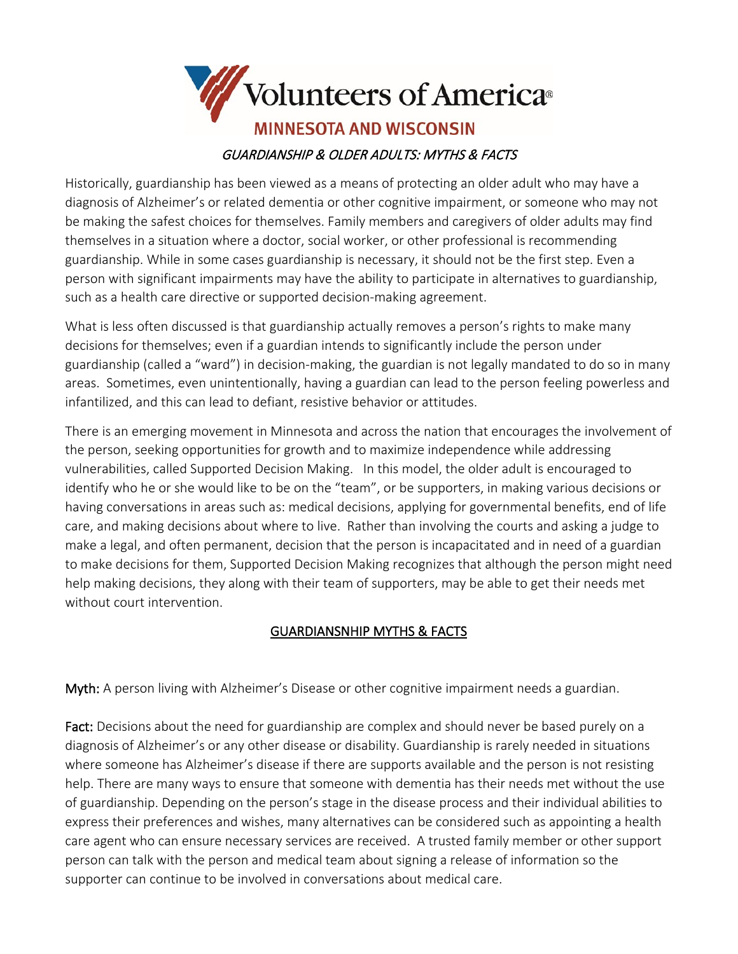

Historically, guardianship has been viewed as a means of protecting an older adult who may have a diagnosis of Alzheimer's or related dementia or other cognitive impairment, or someone who may not be making the safest choices for themselves. Family members and caregivers of older adults may find themselves in a situation where a doctor, social worker, or other professional is recommending guardianship. While in some cases guardianship is necessary, it should not be the first step. Even a person with significant impairments may have the ability to participate in alternatives to guardianship, such as a health care directive or supported decision-making agreement.

What is less often discussed is that guardianship actually removes a person's rights to make many decisions for themselves; even if a guardian intends to significantly include the person under guardianship (called a "ward") in decision-making, the guardian is not legally mandated to do so in many areas. Sometimes, even unintentionally, having a guardian can lead to the person feeling powerless and infantilized, and this can lead to defiant, resistive behavior or attitudes.

There is an emerging movement in Minnesota and across the nation that encourages the involvement of the person, seeking opportunities for growth and to maximize independence while addressing vulnerabilities, called Supported Decision Making. In this model, the older adult is encouraged to identify who he or she would like to be on the "team", or be supporters, in making various decisions or having conversations in areas such as: medical decisions, applying for governmental benefits, end of life care, and making decisions about where to live. Rather than involving the courts and asking a judge to make a legal, and often permanent, decision that the person is incapacitated and in need of a guardian to make decisions for them, Supported Decision Making recognizes that although the person might need help making decisions, they along with their team of supporters, may be able to get their needs met without court intervention.

## GUARDIANSNHIP MYTHS & FACTS

Myth: A person living with Alzheimer's Disease or other cognitive impairment needs a guardian.

Fact: Decisions about the need for guardianship are complex and should never be based purely on a diagnosis of Alzheimer's or any other disease or disability. Guardianship is rarely needed in situations where someone has Alzheimer's disease if there are supports available and the person is not resisting help. There are many ways to ensure that someone with dementia has their needs met without the use of guardianship. Depending on the person's stage in the disease process and their individual abilities to express their preferences and wishes, many alternatives can be considered such as appointing a health care agent who can ensure necessary services are received. A trusted family member or other support person can talk with the person and medical team about signing a release of information so the supporter can continue to be involved in conversations about medical care.